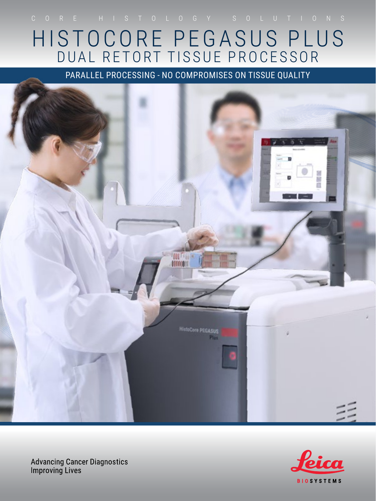### HISTOCORE PEGASUS PLUS DUAL RETORT TISSUE PROCESSOR

PARALLEL PROCESSING - NO COMPROMISES ON TISSUE QUALITY





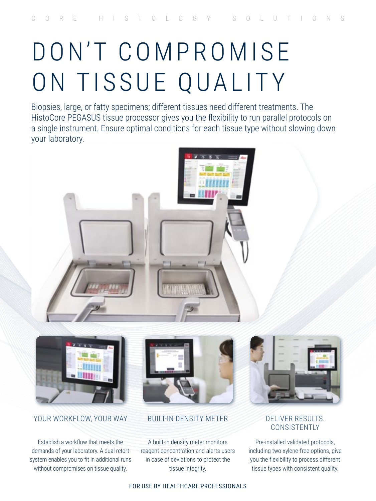# D O N'T C O M P R O M I S E ON TISSUE QUALITY

Biopsies, large, or fatty specimens; different tissues need different treatments. The HistoCore PEGASUS tissue processor gives you the flexibility to run parallel protocols on a single instrument. Ensure optimal conditions for each tissue type without slowing down your laboratory.



### YOUR WORKFLOW, YOUR WAY

Establish a workflow that meets the demands of your laboratory. A dual retort system enables you to fit in additional runs without compromises on tissue quality.



### BUILT-IN DENSITY METER

A built-in density meter monitors reagent concentration and alerts users in case of deviations to protect the tissue integrity.



### DELIVER RESULTS. **CONSISTENTLY**

Pre-installed validated protocols, including two xylene-free options, give you the flexibility to process different tissue types with consistent quality.

#### FOR USE BY HEALTHCARE PROFESSIONALS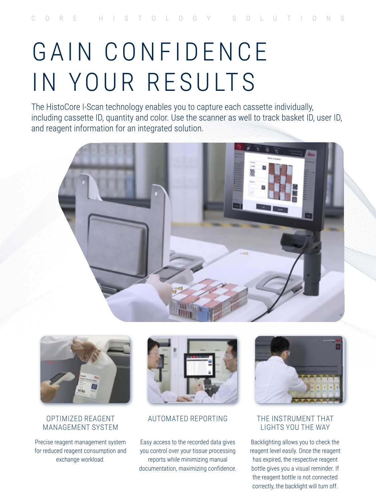# GAIN CONFIDENCE IN YOUR RESULTS

The HistoCore I-Scan technology enables you to capture each cassette individually, including cassette ID, quantity and color. Use the scanner as well to track basket ID, user ID, and reagent information for an integrated solution.





### OPTIMIZED REAGENT MANAGEMENT SYSTEM

Precise reagent management system for reduced reagent consumption and exchange workload.



### AUTOMATED REPORTING

Easy access to the recorded data gives you control over your tissue processing reports while minimizing manual documentation, maximizing confidence.



### THE INSTRUMENT THAT LIGHTS YOU THE WAY

Backlighting allows you to check the reagent level easily. Once the reagent has expired, the respective reagent bottle gives you a visual reminder. If the reagent bottle is not connected correctly, the backlight will turn off.